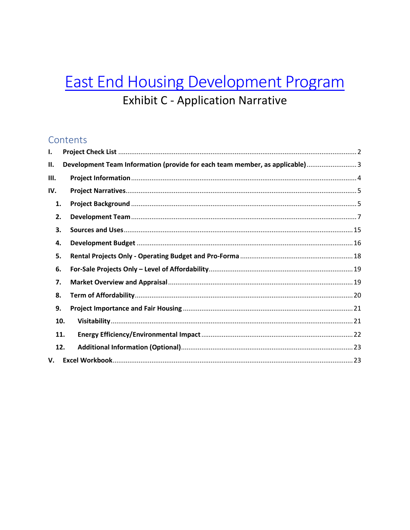# **East End Housing Development Program Exhibit C - Application Narrative**

### Contents

| I.  |                                                                              |  |
|-----|------------------------------------------------------------------------------|--|
| П.  | Development Team Information (provide for each team member, as applicable) 3 |  |
| Ш.  |                                                                              |  |
| IV. |                                                                              |  |
| 1.  |                                                                              |  |
| 2.  |                                                                              |  |
| 3.  |                                                                              |  |
| 4.  |                                                                              |  |
| 5.  |                                                                              |  |
| 6.  |                                                                              |  |
| 7.  |                                                                              |  |
| 8.  |                                                                              |  |
| 9.  |                                                                              |  |
| 10. |                                                                              |  |
| 11. |                                                                              |  |
| 12. |                                                                              |  |
| V.  |                                                                              |  |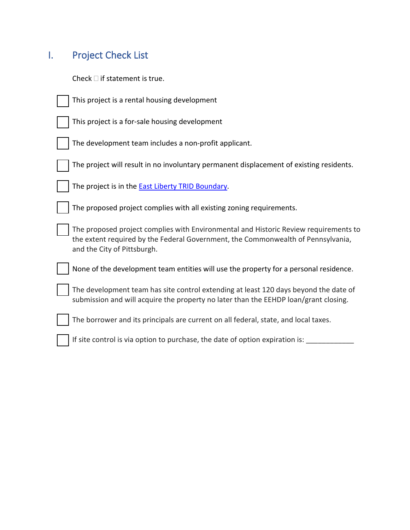## <span id="page-1-0"></span>I. Project Check List

Check  $\Box$  if statement is true.

| This project is a rental housing development                                                                                                                                                            |
|---------------------------------------------------------------------------------------------------------------------------------------------------------------------------------------------------------|
| This project is a for-sale housing development                                                                                                                                                          |
| The development team includes a non-profit applicant.                                                                                                                                                   |
| The project will result in no involuntary permanent displacement of existing residents.                                                                                                                 |
| The project is in the <b>East Liberty TRID Boundary</b> .                                                                                                                                               |
| The proposed project complies with all existing zoning requirements.                                                                                                                                    |
| The proposed project complies with Environmental and Historic Review requirements to<br>the extent required by the Federal Government, the Commonwealth of Pennsylvania,<br>and the City of Pittsburgh. |
| None of the development team entities will use the property for a personal residence.                                                                                                                   |
| The development team has site control extending at least 120 days beyond the date of<br>submission and will acquire the property no later than the EEHDP loan/grant closing.                            |
| The borrower and its principals are current on all federal, state, and local taxes.                                                                                                                     |
| If site control is via option to purchase, the date of option expiration is:                                                                                                                            |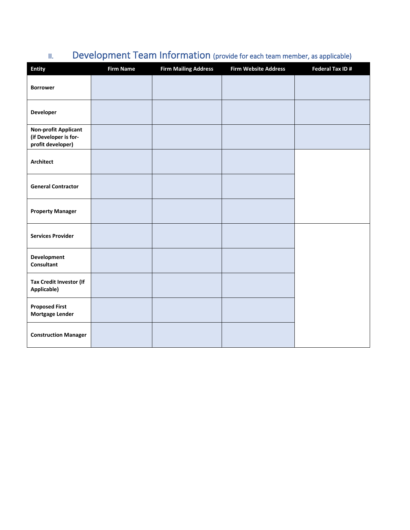| <b>Entity</b>                                                             | <b>Firm Name</b> | <b>Firm Mailing Address</b> | <b>Firm Website Address</b> | Federal Tax ID# |
|---------------------------------------------------------------------------|------------------|-----------------------------|-----------------------------|-----------------|
| <b>Borrower</b>                                                           |                  |                             |                             |                 |
| Developer                                                                 |                  |                             |                             |                 |
| <b>Non-profit Applicant</b><br>(if Developer is for-<br>profit developer) |                  |                             |                             |                 |
| <b>Architect</b>                                                          |                  |                             |                             |                 |
| <b>General Contractor</b>                                                 |                  |                             |                             |                 |
| <b>Property Manager</b>                                                   |                  |                             |                             |                 |
| <b>Services Provider</b>                                                  |                  |                             |                             |                 |
| <b>Development</b><br><b>Consultant</b>                                   |                  |                             |                             |                 |
| Tax Credit Investor (If<br>Applicable)                                    |                  |                             |                             |                 |
| <b>Proposed First</b><br>Mortgage Lender                                  |                  |                             |                             |                 |
| <b>Construction Manager</b>                                               |                  |                             |                             |                 |

## <span id="page-2-0"></span>II. Development Team Information (provide for each team member, as applicable)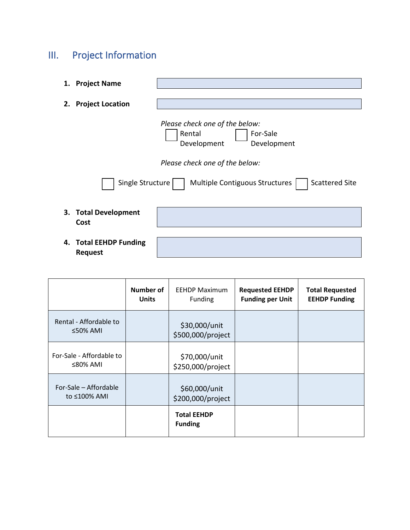## <span id="page-3-0"></span>III. Project Information

| 1. | <b>Project Name</b>                          |                                                                                                                                                                                 |
|----|----------------------------------------------|---------------------------------------------------------------------------------------------------------------------------------------------------------------------------------|
| 2. | <b>Project Location</b>                      |                                                                                                                                                                                 |
|    | Single Structure                             | Please check one of the below:<br>Rental<br>For-Sale<br>Development<br>Development<br>Please check one of the below:<br><b>Scattered Site</b><br>Multiple Contiguous Structures |
|    | 3. Total Development<br>Cost                 |                                                                                                                                                                                 |
| 4. | <b>Total EEHDP Funding</b><br><b>Request</b> |                                                                                                                                                                                 |

|                                            | Number of<br><b>Units</b> | <b>EEHDP Maximum</b><br><b>Funding</b> | <b>Requested EEHDP</b><br><b>Funding per Unit</b> | <b>Total Requested</b><br><b>EEHDP Funding</b> |
|--------------------------------------------|---------------------------|----------------------------------------|---------------------------------------------------|------------------------------------------------|
| Rental - Affordable to<br>$\leq$ 50% AMI   |                           | \$30,000/unit<br>\$500,000/project     |                                                   |                                                |
| For-Sale - Affordable to<br>$\leq$ 80% AMI |                           | \$70,000/unit<br>\$250,000/project     |                                                   |                                                |
| For-Sale - Affordable<br>to ≤100% AMI      |                           | \$60,000/unit<br>\$200,000/project     |                                                   |                                                |
|                                            |                           | <b>Total EEHDP</b><br><b>Funding</b>   |                                                   |                                                |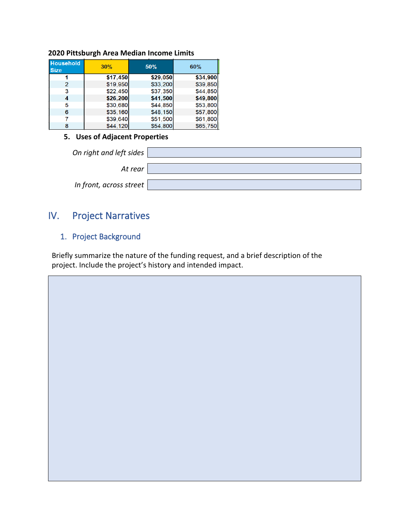| <b>Household</b><br><b>Size</b> | 30%      | 50%      | 60%      |
|---------------------------------|----------|----------|----------|
|                                 | \$17,450 | \$29,050 | \$34,900 |
| 2                               | \$19,950 | \$33,200 | \$39,850 |
| 3                               | \$22.450 | \$37,350 | \$44.850 |
| 4                               | \$26,200 | \$41,500 | \$49,800 |
| 5                               | \$30,680 | \$44,850 | \$53,800 |
| 6                               | \$35,160 | \$48,150 | \$57,800 |
|                                 | \$39,640 | \$51,500 | \$61,800 |
| 8                               | \$44,120 | \$54,800 | \$65,750 |

### **2020 Pittsburgh Area Median Income Limits**

### **5. Uses of Adjacent Properties**

| On right and left sides $\parallel$ |  |
|-------------------------------------|--|
| At rear                             |  |
| In front, across street $ $         |  |

### <span id="page-4-0"></span>IV. Project Narratives

### <span id="page-4-1"></span>1. Project Background

Briefly summarize the nature of the funding request, and a brief description of the project. Include the project's history and intended impact.

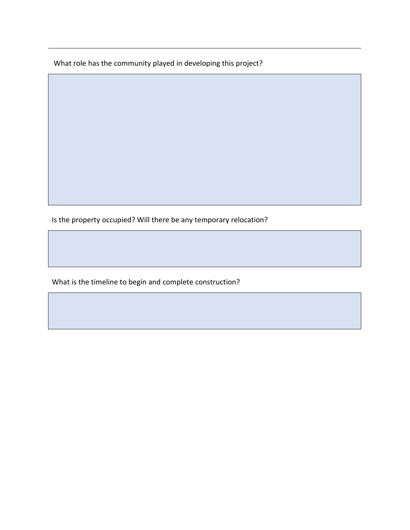What role has the community played in developing this project?

Is the property occupied? Will there be any temporary relocation?

What is the timeline to begin and complete construction?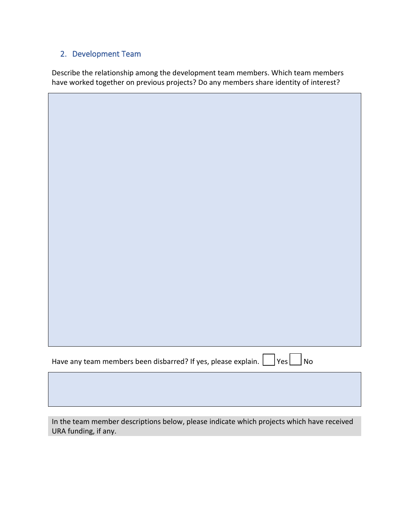### <span id="page-6-0"></span>2. Development Team

Describe the relationship among the development team members. Which team members have worked together on previous projects? Do any members share identity of interest?

| Have any team members been disbarred? If yes, please explain.<br>Yes<br>$\sqrt{\mathsf{No}}$ |
|----------------------------------------------------------------------------------------------|

In the team member descriptions below, please indicate which projects which have received URA funding, if any.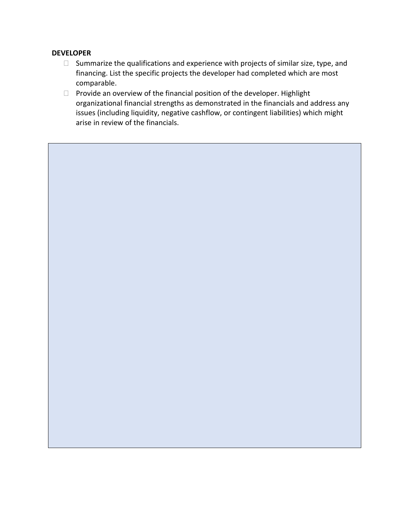#### **DEVELOPER**

- $\Box$  Summarize the qualifications and experience with projects of similar size, type, and financing. List the specific projects the developer had completed which are most comparable.
- $\Box$  Provide an overview of the financial position of the developer. Highlight organizational financial strengths as demonstrated in the financials and address any issues (including liquidity, negative cashflow, or contingent liabilities) which might arise in review of the financials.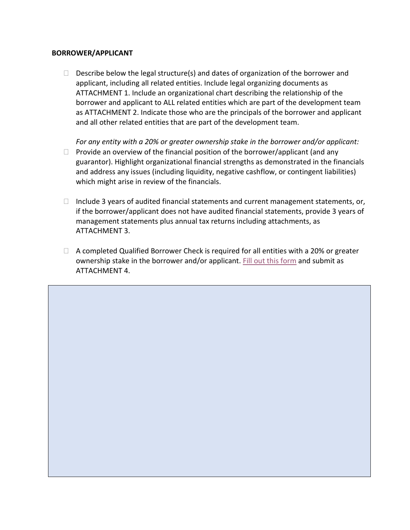#### **BORROWER/APPLICANT**

 $\Box$  Describe below the legal structure(s) and dates of organization of the borrower and applicant, including all related entities. Include legal organizing documents as ATTACHMENT 1. Include an organizational chart describing the relationship of the borrower and applicant to ALL related entities which are part of the development team as ATTACHMENT 2. Indicate those who are the principals of the borrower and applicant and all other related entities that are part of the development team.

*For any entity with a 20% or greater ownership stake in the borrower and/or applicant:*

- $\Box$  Provide an overview of the financial position of the borrower/applicant (and any guarantor). Highlight organizational financial strengths as demonstrated in the financials and address any issues (including liquidity, negative cashflow, or contingent liabilities) which might arise in review of the financials.
- $\Box$  Include 3 years of audited financial statements and current management statements, or, if the borrower/applicant does not have audited financial statements, provide 3 years of management statements plus annual tax returns including attachments, as ATTACHMENT 3.
- $\Box$  A completed Qualified Borrower Check is required for all entities with a 20% or greater ownership stake in the borrower and/or applicant[. Fill out this form](https://www.ura.org/media/W1siZiIsIjIwMjAvMDkvMjQvOGJhYnllcms0bl9RdWFsaWZpZWRfQnV5ZXJfQXBwbGljYXRpb24uZG9jeCJdXQ/Qualified%20Buyer%20Application.docx) and submit as ATTACHMENT 4.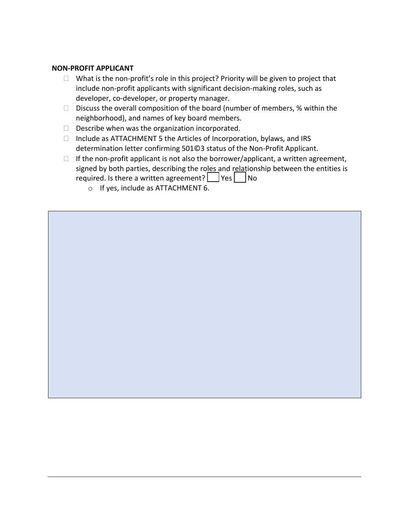#### **NON-PROFIT APPLICANT**

- $\Box$  What is the non-profit's role in this project? Priority will be given to project that include non-profit applicants with significant decision-making roles, such as developer, co-developer, or property manager.
- $\Box$  Discuss the overall composition of the board (number of members, % within the neighborhood), and names of key board members.
- $\Box$  Describe when was the organization incorporated.
- $\Box$  Include as ATTACHMENT 5 the Articles of Incorporation, bylaws, and IRS determination letter confirming 501©3 status of the Non-Profit Applicant.
- $\Box$  If the non-profit applicant is not also the borrower/applicant, a written agreement, signed by both parties, describing the roles and relationship between the entities is required. Is there a written agreement?  $\Box$  Yes  $\Box$  No
	- o If yes, include as ATTACHMENT 6.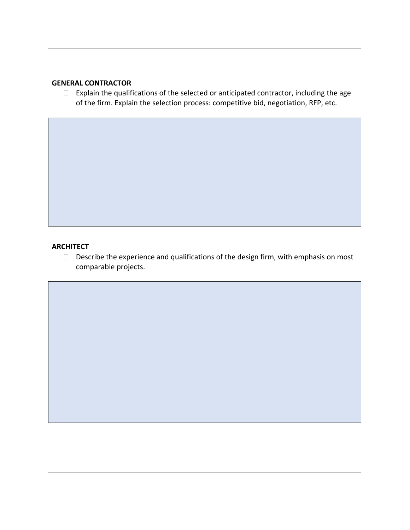### **GENERAL CONTRACTOR**

 $\Box$  Explain the qualifications of the selected or anticipated contractor, including the age of the firm. Explain the selection process: competitive bid, negotiation, RFP, etc.

### **ARCHITECT**

 $\square$  Describe the experience and qualifications of the design firm, with emphasis on most comparable projects.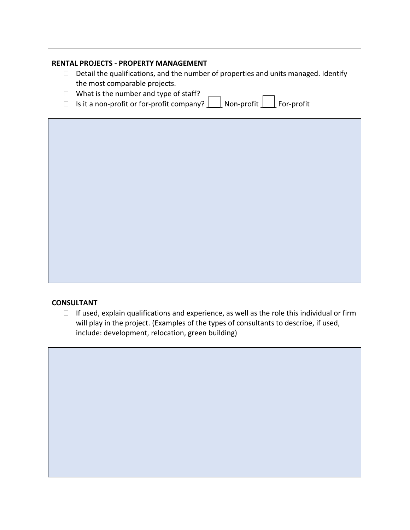### **RENTAL PROJECTS - PROPERTY MANAGEMENT**

- $\Box$  Detail the qualifications, and the number of properties and units managed. Identify the most comparable projects.
- $\Box$  What is the number and type of staff?
- $\Box$  Is it a non-profit or for-profit company?  $\Box$  Non-profit  $\Box$  For-profit

### **CONSULTANT**

 $\Box$  If used, explain qualifications and experience, as well as the role this individual or firm will play in the project. (Examples of the types of consultants to describe, if used, include: development, relocation, green building)

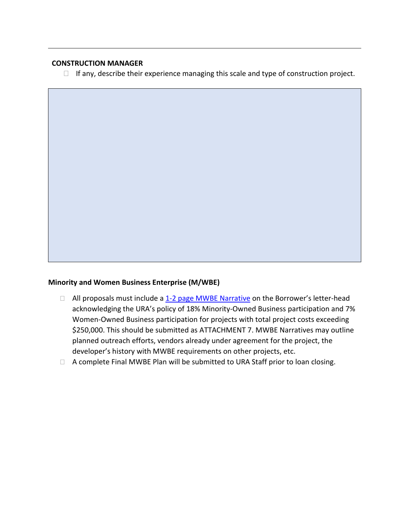### **CONSTRUCTION MANAGER**

 $\Box$  If any, describe their experience managing this scale and type of construction project.

#### **Minority and Women Business Enterprise (M/WBE)**

- $\Box$  All proposals must include a  $1-2$  page MWBE Narrative on the Borrower's letter-head acknowledging the URA's policy of 18% Minority-Owned Business participation and 7% Women-Owned Business participation for projects with total project costs exceeding \$250,000. This should be submitted as ATTACHMENT 7. MWBE Narratives may outline planned outreach efforts, vendors already under agreement for the project, the developer's history with MWBE requirements on other projects, etc.
- □ A complete Final MWBE Plan will be submitted to URA Staff prior to loan closing.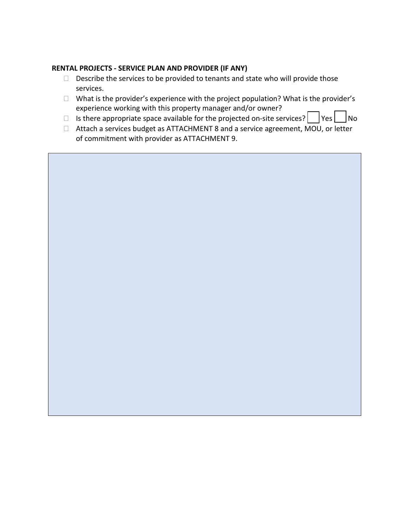### **RENTAL PROJECTS - SERVICE PLAN AND PROVIDER (IF ANY)**

- $\Box$  Describe the services to be provided to tenants and state who will provide those services.
- $\Box$  What is the provider's experience with the project population? What is the provider's experience working with this property manager and/or owner?
- $\Box$  Is there appropriate space available for the projected on-site services?  $\Box$  Yes  $\Box$  No
- □ Attach a services budget as ATTACHMENT 8 and a service agreement, MOU, or letter of commitment with provider as ATTACHMENT 9.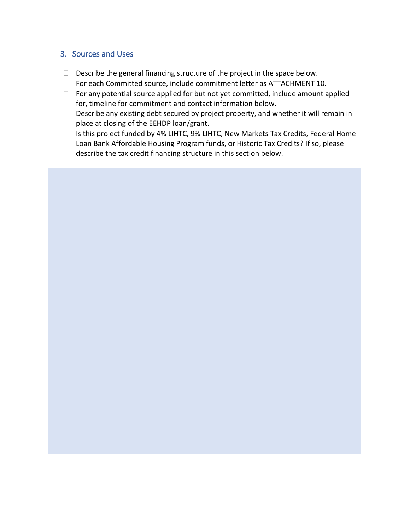### <span id="page-14-0"></span>3. Sources and Uses

- $\Box$  Describe the general financing structure of the project in the space below.
- □ For each Committed source, include commitment letter as ATTACHMENT 10.
- $\Box$  For any potential source applied for but not yet committed, include amount applied for, timeline for commitment and contact information below.
- $\Box$  Describe any existing debt secured by project property, and whether it will remain in place at closing of the EEHDP loan/grant.
- $\Box$  Is this project funded by 4% LIHTC, 9% LIHTC, New Markets Tax Credits, Federal Home Loan Bank Affordable Housing Program funds, or Historic Tax Credits? If so, please describe the tax credit financing structure in this section below.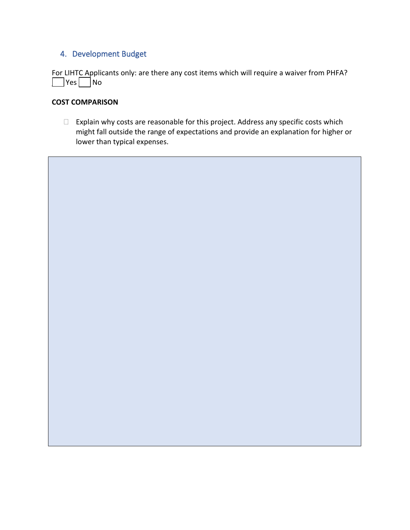### <span id="page-15-0"></span>4. Development Budget

For LIHTC Applicants only: are there any cost items which will require a waiver from PHFA?  $\Box$  Yes  $\Box$  No

#### **COST COMPARISON**

 $\Box$  Explain why costs are reasonable for this project. Address any specific costs which might fall outside the range of expectations and provide an explanation for higher or lower than typical expenses.

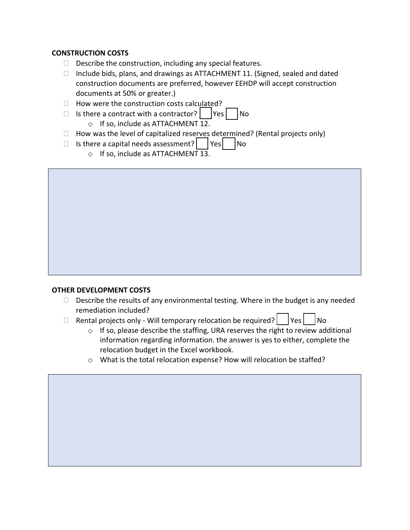### **CONSTRUCTION COSTS**

- $\Box$  Describe the construction, including any special features.
- $\Box$  Include bids, plans, and drawings as ATTACHMENT 11. (Signed, sealed and dated construction documents are preferred, however EEHDP will accept construction documents at 50% or greater.)
- $\Box$  How were the construction costs calculated?
- $\Box$  Is there a contract with a contractor?  $\Box$  Yes  $\Box$  No
	- o If so, include as ATTACHMENT 12.
- $\Box$  How was the level of capitalized reserves determined? (Rental projects only)
- $\Box$  Is there a capital needs assessment? | Yes | No
	- o If so, include as ATTACHMENT 13.

### **OTHER DEVELOPMENT COSTS**

- $\Box$  Describe the results of any environmental testing. Where in the budget is any needed remediation included?
- $\Box$  Rental projects only Will temporary relocation be required? | Yes | No
	- $\circ$  If so, please describe the staffing, URA reserves the right to review additional information regarding information. the answer is yes to either, complete the relocation budget in the Excel workbook.
	- o What is the total relocation expense? How will relocation be staffed?

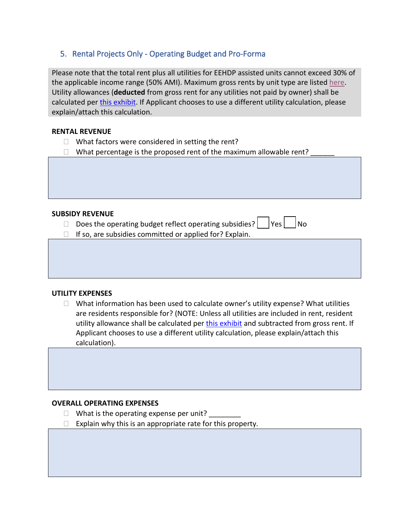### <span id="page-17-0"></span>5. Rental Projects Only - Operating Budget and Pro-Forma

Please note that the total rent plus all utilities for EEHDP assisted units cannot exceed 30% of the applicable income range (50% AMI). Maximum gross rents by unit type are listed [here.](https://www.ura.org/media/W1siZiIsIjIwMjAvMTAvMDgvMXo4empmMWFhOF8yMDIwX1JlbnRfTGltaXRzLnBkZiJdXQ/2020%20Rent%20Limits.pdf) Utility allowances (**deducted** from gross rent for any utilities not paid by owner) shall be calculated per *this exhibit*. If Applicant chooses to use a different utility calculation, please explain/attach this calculation.

### **RENTAL REVENUE**

- $\Box$  What factors were considered in setting the rent?
- $\Box$  What percentage is the proposed rent of the maximum allowable rent?

### **SUBSIDY REVENUE**

- $\Box$  Does the operating budget reflect operating subsidies?  $\Box$  Yes  $\Box$  No
- $\Box$  If so, are subsidies committed or applied for? Explain.

### **UTILITY EXPENSES**

 $\Box$  What information has been used to calculate owner's utility expense? What utilities are residents responsible for? (NOTE: Unless all utilities are included in rent, resident utility allowance shall be calculated pe[r this exhibit](https://www.ura.org/media/W1siZiIsIjIwMjAvMTAvMDgvNmk2bHg4czIxYl8yMDIwX1V0aWxpdHlfQWxsb3dhbmNlLnBkZiJdXQ/2020%20Utility%20Allowance.pdf) and subtracted from gross rent. If Applicant chooses to use a different utility calculation, please explain/attach this calculation).

### **OVERALL OPERATING EXPENSES**

- $\Box$  What is the operating expense per unit?
- $\Box$  Explain why this is an appropriate rate for this property.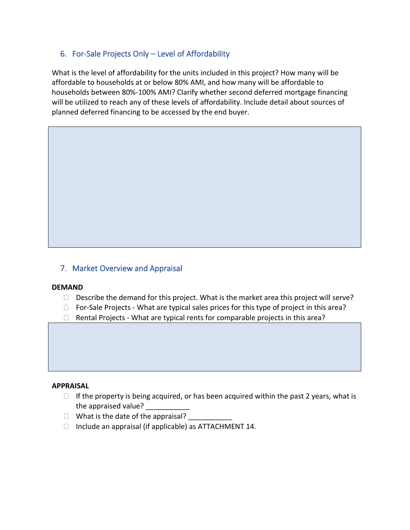### <span id="page-18-0"></span>6. For-Sale Projects Only – Level of Affordability

What is the level of affordability for the units included in this project? How many will be affordable to households at or below 80% AMI, and how many will be affordable to households between 80%-100% AMI? Clarify whether second deferred mortgage financing will be utilized to reach any of these levels of affordability. Include detail about sources of planned deferred financing to be accessed by the end buyer.

### <span id="page-18-1"></span>7. Market Overview and Appraisal

### **DEMAND**

- $\Box$  Describe the demand for this project. What is the market area this project will serve?
- $\Box$  For-Sale Projects What are typical sales prices for this type of project in this area?
- $\Box$  Rental Projects What are typical rents for comparable projects in this area?

#### **APPRAISAL**

- $\Box$  If the property is being acquired, or has been acquired within the past 2 years, what is the appraised value?
- $\Box$  What is the date of the appraisal?
- $\Box$  Include an appraisal (if applicable) as ATTACHMENT 14.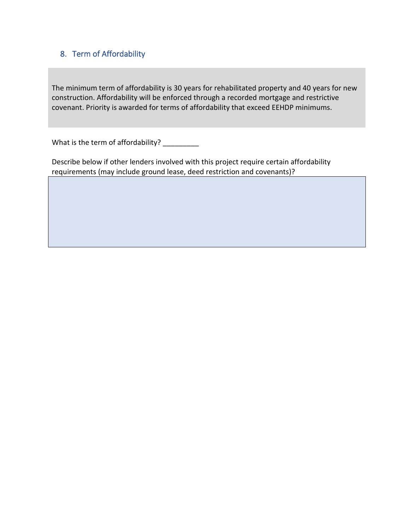### <span id="page-19-0"></span>8. Term of Affordability

The minimum term of affordability is 30 years for rehabilitated property and 40 years for new construction. Affordability will be enforced through a recorded mortgage and restrictive covenant. Priority is awarded for terms of affordability that exceed EEHDP minimums.

What is the term of affordability? \_\_\_\_\_\_\_\_\_

Describe below if other lenders involved with this project require certain affordability requirements (may include ground lease, deed restriction and covenants)?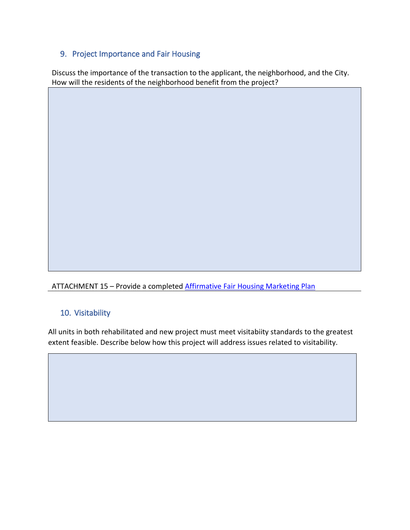### <span id="page-20-0"></span>9. Project Importance and Fair Housing

Discuss the importance of the transaction to the applicant, the neighborhood, and the City. How will the residents of the neighborhood benefit from the project?

ATTACHMENT 15 – Provide a completed [Affirmative Fair Housing Marketing Plan](https://www.ura.org/media/W1siZiIsIjIwMjAvMDkvMjQvYXV5Y2txa2J3X0hVRF9GYWlyX0hvdXNpbmdfTWFya2V0aW5nX1BsYW4uUERGIl1d/HUD%20Fair%20Housing%20Marketing%20Plan.PDF)

### <span id="page-20-1"></span>10. Visitability

All units in both rehabilitated and new project must meet visitabiity standards to the greatest extent feasible. Describe below how this project will address issues related to visitability.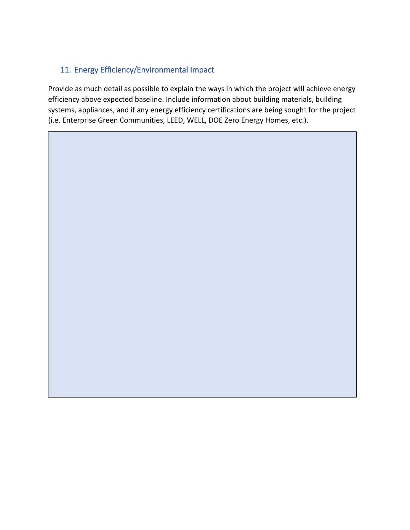### <span id="page-21-0"></span>11. Energy Efficiency/Environmental Impact

Provide as much detail as possible to explain the ways in which the project will achieve energy efficiency above expected baseline. Include information about building materials, building systems, appliances, and if any energy efficiency certifications are being sought for the project (i.e. Enterprise Green Communities, LEED, WELL, DOE Zero Energy Homes, etc.).